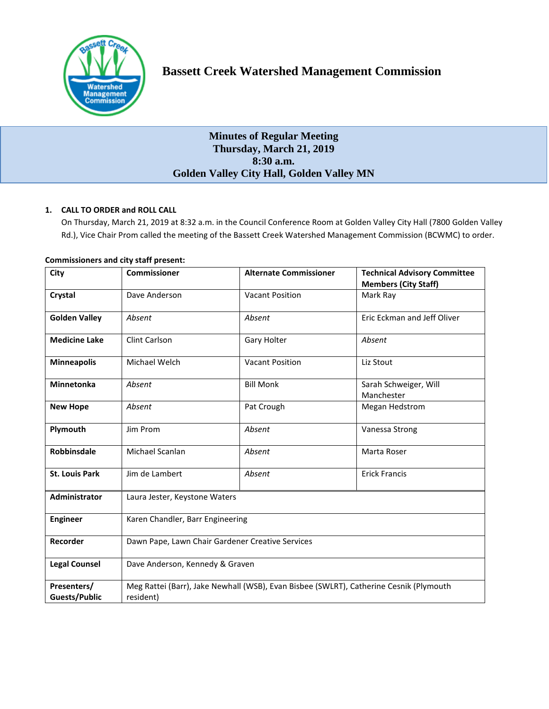

# **Minutes of Regular Meeting Thursday, March 21, 2019 8:30 a.m. Golden Valley City Hall, Golden Valley MN**

# **1. CALL TO ORDER and ROLL CALL**

On Thursday, March 21, 2019 at 8:32 a.m. in the Council Conference Room at Golden Valley City Hall (7800 Golden Valley Rd.), Vice Chair Prom called the meeting of the Bassett Creek Watershed Management Commission (BCWMC) to order.

| City                  | <b>Commissioner</b>                                                                    | <b>Alternate Commissioner</b> | <b>Technical Advisory Committee</b><br><b>Members (City Staff)</b> |
|-----------------------|----------------------------------------------------------------------------------------|-------------------------------|--------------------------------------------------------------------|
| Crystal               | Dave Anderson                                                                          | <b>Vacant Position</b>        | Mark Ray                                                           |
| <b>Golden Valley</b>  | Absent                                                                                 | Absent                        | Eric Eckman and Jeff Oliver                                        |
| <b>Medicine Lake</b>  | Clint Carlson                                                                          | Gary Holter                   | Absent                                                             |
| <b>Minneapolis</b>    | Michael Welch                                                                          | <b>Vacant Position</b>        | Liz Stout                                                          |
| Minnetonka            | Absent                                                                                 | <b>Bill Monk</b>              | Sarah Schweiger, Will<br>Manchester                                |
| <b>New Hope</b>       | Absent                                                                                 | Pat Crough                    | Megan Hedstrom                                                     |
| Plymouth              | Jim Prom                                                                               | Absent                        | Vanessa Strong                                                     |
| <b>Robbinsdale</b>    | Michael Scanlan                                                                        | Absent                        | Marta Roser                                                        |
| <b>St. Louis Park</b> | Jim de Lambert                                                                         | Absent                        | <b>Erick Francis</b>                                               |
| <b>Administrator</b>  | Laura Jester, Keystone Waters                                                          |                               |                                                                    |
| <b>Engineer</b>       | Karen Chandler, Barr Engineering                                                       |                               |                                                                    |
| Recorder              | Dawn Pape, Lawn Chair Gardener Creative Services                                       |                               |                                                                    |
| <b>Legal Counsel</b>  | Dave Anderson, Kennedy & Graven                                                        |                               |                                                                    |
| Presenters/           | Meg Rattei (Barr), Jake Newhall (WSB), Evan Bisbee (SWLRT), Catherine Cesnik (Plymouth |                               |                                                                    |
| <b>Guests/Public</b>  | resident)                                                                              |                               |                                                                    |

# **Commissioners and city staff present:**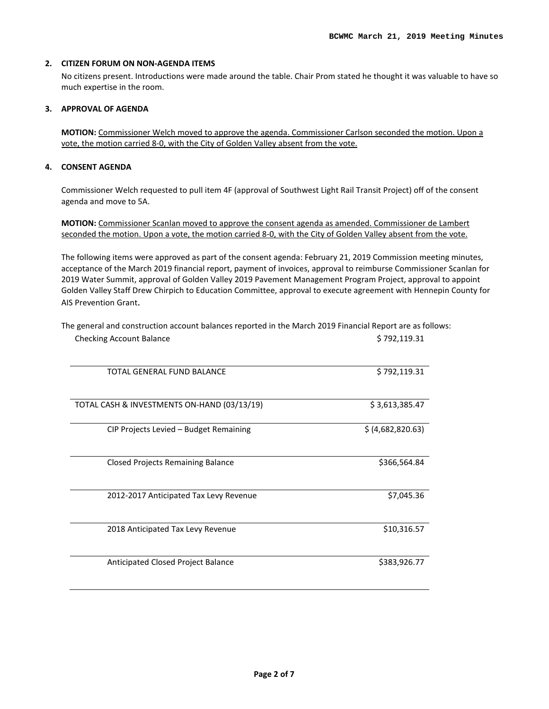### **2. CITIZEN FORUM ON NON-AGENDA ITEMS**

No citizens present. Introductions were made around the table. Chair Prom stated he thought it was valuable to have so much expertise in the room.

## **3. APPROVAL OF AGENDA**

**MOTION:** Commissioner Welch moved to approve the agenda. Commissioner Carlson seconded the motion. Upon a vote, the motion carried 8-0, with the City of Golden Valley absent from the vote.

# **4. CONSENT AGENDA**

Commissioner Welch requested to pull item 4F (approval of Southwest Light Rail Transit Project) off of the consent agenda and move to 5A.

**MOTION:** Commissioner Scanlan moved to approve the consent agenda as amended. Commissioner de Lambert seconded the motion. Upon a vote, the motion carried 8-0, with the City of Golden Valley absent from the vote.

The following items were approved as part of the consent agenda: February 21, 2019 Commission meeting minutes, acceptance of the March 2019 financial report, payment of invoices, approval to reimburse Commissioner Scanlan for 2019 Water Summit, approval of Golden Valley 2019 Pavement Management Program Project, approval to appoint Golden Valley Staff Drew Chirpich to Education Committee, approval to execute agreement with Hennepin County for AIS Prevention Grant.

| The general and construction account balances reported in the March 2019 Financial Report are as follows: |              |
|-----------------------------------------------------------------------------------------------------------|--------------|
| <b>Checking Account Balance</b>                                                                           | \$792,119.31 |

| TOTAL GENERAL FUND BALANCE                  | \$792,119.31      |
|---------------------------------------------|-------------------|
| TOTAL CASH & INVESTMENTS ON-HAND (03/13/19) | \$3,613,385.47    |
| CIP Projects Levied – Budget Remaining      | \$ (4,682,820.63) |
| <b>Closed Projects Remaining Balance</b>    | \$366,564.84      |
| 2012-2017 Anticipated Tax Levy Revenue      | \$7,045.36        |
| 2018 Anticipated Tax Levy Revenue           | \$10,316.57       |
| Anticipated Closed Project Balance          | \$383,926.77      |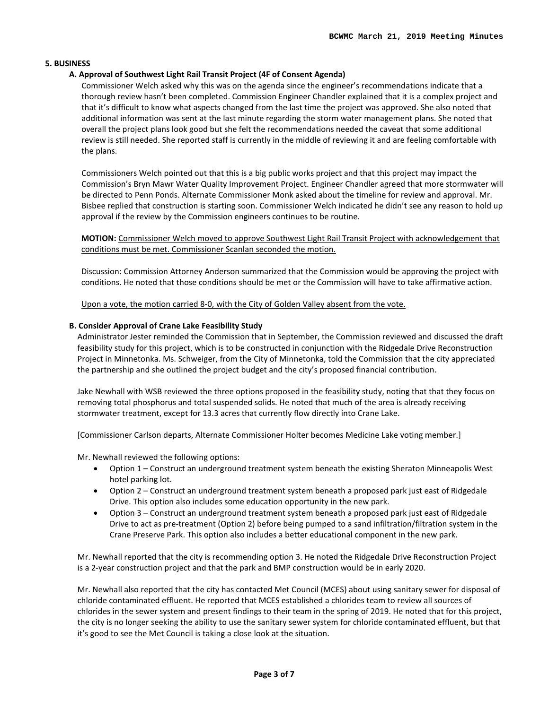### **5. BUSINESS**

### **A. Approval of Southwest Light Rail Transit Project (4F of Consent Agenda)**

Commissioner Welch asked why this was on the agenda since the engineer's recommendations indicate that a thorough review hasn't been completed. Commission Engineer Chandler explained that it is a complex project and that it's difficult to know what aspects changed from the last time the project was approved. She also noted that additional information was sent at the last minute regarding the storm water management plans. She noted that overall the project plans look good but she felt the recommendations needed the caveat that some additional review is still needed. She reported staff is currently in the middle of reviewing it and are feeling comfortable with the plans.

Commissioners Welch pointed out that this is a big public works project and that this project may impact the Commission's Bryn Mawr Water Quality Improvement Project. Engineer Chandler agreed that more stormwater will be directed to Penn Ponds. Alternate Commissioner Monk asked about the timeline for review and approval. Mr. Bisbee replied that construction is starting soon. Commissioner Welch indicated he didn't see any reason to hold up approval if the review by the Commission engineers continues to be routine.

**MOTION:** Commissioner Welch moved to approve Southwest Light Rail Transit Project with acknowledgement that conditions must be met. Commissioner Scanlan seconded the motion.

Discussion: Commission Attorney Anderson summarized that the Commission would be approving the project with conditions. He noted that those conditions should be met or the Commission will have to take affirmative action.

Upon a vote, the motion carried 8-0, with the City of Golden Valley absent from the vote.

#### **B. Consider Approval of Crane Lake Feasibility Study**

Administrator Jester reminded the Commission that in September, the Commission reviewed and discussed the draft feasibility study for this project, which is to be constructed in conjunction with the Ridgedale Drive Reconstruction Project in Minnetonka. Ms. Schweiger, from the City of Minnetonka, told the Commission that the city appreciated the partnership and she outlined the project budget and the city's proposed financial contribution.

Jake Newhall with WSB reviewed the three options proposed in the feasibility study, noting that that they focus on removing total phosphorus and total suspended solids. He noted that much of the area is already receiving stormwater treatment, except for 13.3 acres that currently flow directly into Crane Lake.

[Commissioner Carlson departs, Alternate Commissioner Holter becomes Medicine Lake voting member.]

Mr. Newhall reviewed the following options:

- Option 1 Construct an underground treatment system beneath the existing Sheraton Minneapolis West hotel parking lot.
- Option 2 Construct an underground treatment system beneath a proposed park just east of Ridgedale Drive. This option also includes some education opportunity in the new park.
- Option 3 Construct an underground treatment system beneath a proposed park just east of Ridgedale Drive to act as pre-treatment (Option 2) before being pumped to a sand infiltration/filtration system in the Crane Preserve Park. This option also includes a better educational component in the new park.

Mr. Newhall reported that the city is recommending option 3. He noted the Ridgedale Drive Reconstruction Project is a 2-year construction project and that the park and BMP construction would be in early 2020.

Mr. Newhall also reported that the city has contacted Met Council (MCES) about using sanitary sewer for disposal of chloride contaminated effluent. He reported that MCES established a chlorides team to review all sources of chlorides in the sewer system and present findings to their team in the spring of 2019. He noted that for this project, the city is no longer seeking the ability to use the sanitary sewer system for chloride contaminated effluent, but that it's good to see the Met Council is taking a close look at the situation.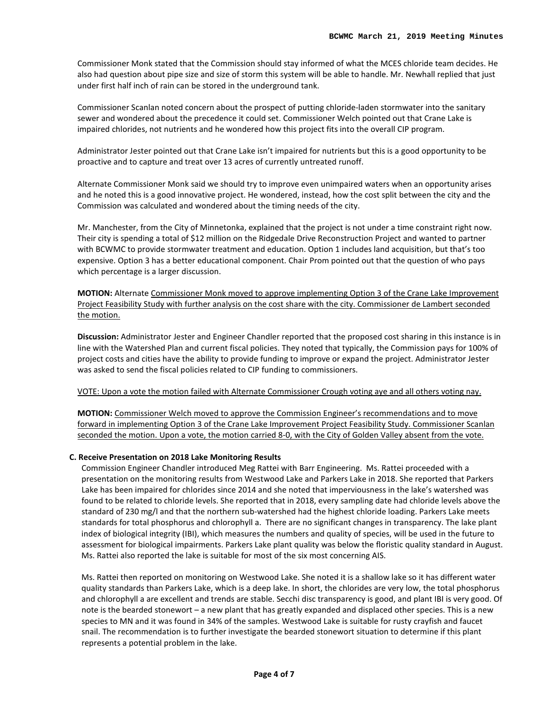Commissioner Monk stated that the Commission should stay informed of what the MCES chloride team decides. He also had question about pipe size and size of storm this system will be able to handle. Mr. Newhall replied that just under first half inch of rain can be stored in the underground tank.

Commissioner Scanlan noted concern about the prospect of putting chloride-laden stormwater into the sanitary sewer and wondered about the precedence it could set. Commissioner Welch pointed out that Crane Lake is impaired chlorides, not nutrients and he wondered how this project fits into the overall CIP program.

Administrator Jester pointed out that Crane Lake isn't impaired for nutrients but this is a good opportunity to be proactive and to capture and treat over 13 acres of currently untreated runoff.

Alternate Commissioner Monk said we should try to improve even unimpaired waters when an opportunity arises and he noted this is a good innovative project. He wondered, instead, how the cost split between the city and the Commission was calculated and wondered about the timing needs of the city.

Mr. Manchester, from the City of Minnetonka, explained that the project is not under a time constraint right now. Their city is spending a total of \$12 million on the Ridgedale Drive Reconstruction Project and wanted to partner with BCWMC to provide stormwater treatment and education. Option 1 includes land acquisition, but that's too expensive. Option 3 has a better educational component. Chair Prom pointed out that the question of who pays which percentage is a larger discussion.

**MOTION:** Alternate Commissioner Monk moved to approve implementing Option 3 of the Crane Lake Improvement Project Feasibility Study with further analysis on the cost share with the city. Commissioner de Lambert seconded the motion.

**Discussion:** Administrator Jester and Engineer Chandler reported that the proposed cost sharing in this instance is in line with the Watershed Plan and current fiscal policies. They noted that typically, the Commission pays for 100% of project costs and cities have the ability to provide funding to improve or expand the project. Administrator Jester was asked to send the fiscal policies related to CIP funding to commissioners.

#### VOTE: Upon a vote the motion failed with Alternate Commissioner Crough voting aye and all others voting nay.

**MOTION:** Commissioner Welch moved to approve the Commission Engineer's recommendations and to move forward in implementing Option 3 of the Crane Lake Improvement Project Feasibility Study. Commissioner Scanlan seconded the motion. Upon a vote, the motion carried 8-0, with the City of Golden Valley absent from the vote.

#### **C. Receive Presentation on 2018 Lake Monitoring Results**

Commission Engineer Chandler introduced Meg Rattei with Barr Engineering. Ms. Rattei proceeded with a presentation on the monitoring results from Westwood Lake and Parkers Lake in 2018. She reported that Parkers Lake has been impaired for chlorides since 2014 and she noted that imperviousness in the lake's watershed was found to be related to chloride levels. She reported that in 2018, every sampling date had chloride levels above the standard of 230 mg/l and that the northern sub-watershed had the highest chloride loading. Parkers Lake meets standards for total phosphorus and chlorophyll a. There are no significant changes in transparency. The lake plant index of biological integrity (IBI), which measures the numbers and quality of species, will be used in the future to assessment for biological impairments. Parkers Lake plant quality was below the floristic quality standard in August. Ms. Rattei also reported the lake is suitable for most of the six most concerning AIS.

Ms. Rattei then reported on monitoring on Westwood Lake. She noted it is a shallow lake so it has different water quality standards than Parkers Lake, which is a deep lake. In short, the chlorides are very low, the total phosphorus and chlorophyll a are excellent and trends are stable. Secchi disc transparency is good, and plant IBI is very good. Of note is the bearded stonewort – a new plant that has greatly expanded and displaced other species. This is a new species to MN and it was found in 34% of the samples. Westwood Lake is suitable for rusty crayfish and faucet snail. The recommendation is to further investigate the bearded stonewort situation to determine if this plant represents a potential problem in the lake.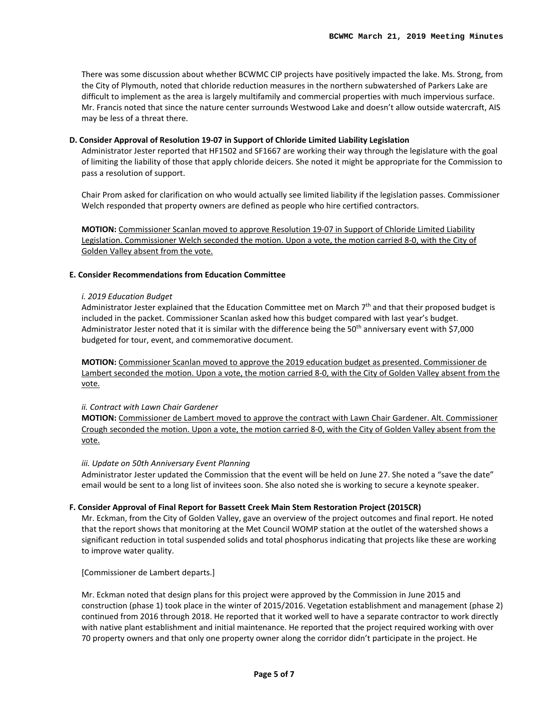There was some discussion about whether BCWMC CIP projects have positively impacted the lake. Ms. Strong, from the City of Plymouth, noted that chloride reduction measures in the northern subwatershed of Parkers Lake are difficult to implement as the area is largely multifamily and commercial properties with much impervious surface. Mr. Francis noted that since the nature center surrounds Westwood Lake and doesn't allow outside watercraft, AIS may be less of a threat there.

### **D. Consider Approval of Resolution 19-07 in Support of Chloride Limited Liability Legislation**

Administrator Jester reported that HF1502 and SF1667 are working their way through the legislature with the goal of limiting the liability of those that apply chloride deicers. She noted it might be appropriate for the Commission to pass a resolution of support.

Chair Prom asked for clarification on who would actually see limited liability if the legislation passes. Commissioner Welch responded that property owners are defined as people who hire certified contractors.

**MOTION:** Commissioner Scanlan moved to approve Resolution 19-07 in Support of Chloride Limited Liability Legislation. Commissioner Welch seconded the motion. Upon a vote, the motion carried 8-0, with the City of Golden Valley absent from the vote.

### **E. Consider Recommendations from Education Committee**

#### *i. 2019 Education Budget*

Administrator Jester explained that the Education Committee met on March  $7<sup>th</sup>$  and that their proposed budget is included in the packet. Commissioner Scanlan asked how this budget compared with last year's budget. Administrator Jester noted that it is similar with the difference being the 50<sup>th</sup> anniversary event with \$7,000 budgeted for tour, event, and commemorative document.

**MOTION:** Commissioner Scanlan moved to approve the 2019 education budget as presented. Commissioner de Lambert seconded the motion. Upon a vote, the motion carried 8-0, with the City of Golden Valley absent from the vote.

#### *ii. Contract with Lawn Chair Gardener*

**MOTION:** Commissioner de Lambert moved to approve the contract with Lawn Chair Gardener. Alt. Commissioner Crough seconded the motion. Upon a vote, the motion carried 8-0, with the City of Golden Valley absent from the vote.

#### *iii. Update on 50th Anniversary Event Planning*

Administrator Jester updated the Commission that the event will be held on June 27. She noted a "save the date" email would be sent to a long list of invitees soon. She also noted she is working to secure a keynote speaker.

# **F. Consider Approval of Final Report for Bassett Creek Main Stem Restoration Project (2015CR)**

Mr. Eckman, from the City of Golden Valley, gave an overview of the project outcomes and final report. He noted that the report shows that monitoring at the Met Council WOMP station at the outlet of the watershed shows a significant reduction in total suspended solids and total phosphorus indicating that projects like these are working to improve water quality.

[Commissioner de Lambert departs.]

Mr. Eckman noted that design plans for this project were approved by the Commission in June 2015 and construction (phase 1) took place in the winter of 2015/2016. Vegetation establishment and management (phase 2) continued from 2016 through 2018. He reported that it worked well to have a separate contractor to work directly with native plant establishment and initial maintenance. He reported that the project required working with over 70 property owners and that only one property owner along the corridor didn't participate in the project. He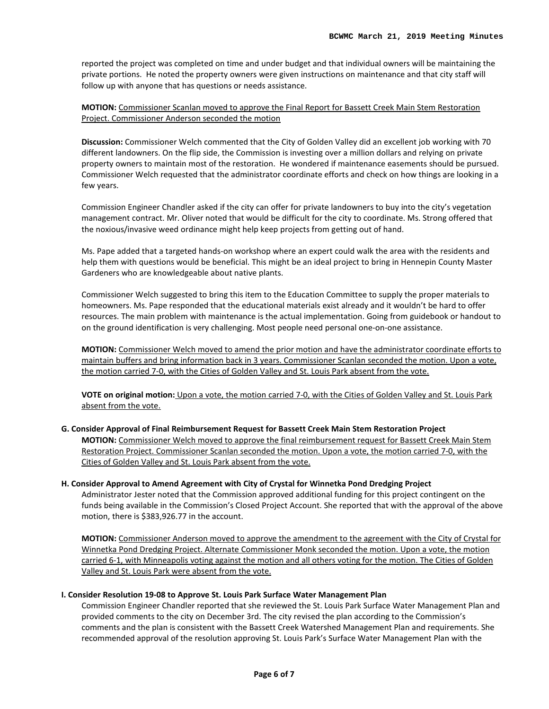reported the project was completed on time and under budget and that individual owners will be maintaining the private portions. He noted the property owners were given instructions on maintenance and that city staff will follow up with anyone that has questions or needs assistance.

# **MOTION:** Commissioner Scanlan moved to approve the Final Report for Bassett Creek Main Stem Restoration Project. Commissioner Anderson seconded the motion

**Discussion:** Commissioner Welch commented that the City of Golden Valley did an excellent job working with 70 different landowners. On the flip side, the Commission is investing over a million dollars and relying on private property owners to maintain most of the restoration. He wondered if maintenance easements should be pursued. Commissioner Welch requested that the administrator coordinate efforts and check on how things are looking in a few years.

Commission Engineer Chandler asked if the city can offer for private landowners to buy into the city's vegetation management contract. Mr. Oliver noted that would be difficult for the city to coordinate. Ms. Strong offered that the noxious/invasive weed ordinance might help keep projects from getting out of hand.

Ms. Pape added that a targeted hands-on workshop where an expert could walk the area with the residents and help them with questions would be beneficial. This might be an ideal project to bring in Hennepin County Master Gardeners who are knowledgeable about native plants.

Commissioner Welch suggested to bring this item to the Education Committee to supply the proper materials to homeowners. Ms. Pape responded that the educational materials exist already and it wouldn't be hard to offer resources. The main problem with maintenance is the actual implementation. Going from guidebook or handout to on the ground identification is very challenging. Most people need personal one-on-one assistance.

**MOTION:** Commissioner Welch moved to amend the prior motion and have the administrator coordinate efforts to maintain buffers and bring information back in 3 years. Commissioner Scanlan seconded the motion. Upon a vote, the motion carried 7-0, with the Cities of Golden Valley and St. Louis Park absent from the vote.

**VOTE on original motion:** Upon a vote, the motion carried 7-0, with the Cities of Golden Valley and St. Louis Park absent from the vote.

#### **G. Consider Approval of Final Reimbursement Request for Bassett Creek Main Stem Restoration Project**

**MOTION:** Commissioner Welch moved to approve the final reimbursement request for Bassett Creek Main Stem Restoration Project. Commissioner Scanlan seconded the motion. Upon a vote, the motion carried 7-0, with the Cities of Golden Valley and St. Louis Park absent from the vote.

# **H. Consider Approval to Amend Agreement with City of Crystal for Winnetka Pond Dredging Project**

Administrator Jester noted that the Commission approved additional funding for this project contingent on the funds being available in the Commission's Closed Project Account. She reported that with the approval of the above motion, there is \$383,926.77 in the account.

**MOTION:** Commissioner Anderson moved to approve the amendment to the agreement with the City of Crystal for Winnetka Pond Dredging Project. Alternate Commissioner Monk seconded the motion. Upon a vote, the motion carried 6-1, with Minneapolis voting against the motion and all others voting for the motion. The Cities of Golden Valley and St. Louis Park were absent from the vote.

#### **I. Consider Resolution 19-08 to Approve St. Louis Park Surface Water Management Plan**

Commission Engineer Chandler reported that she reviewed the St. Louis Park Surface Water Management Plan and provided comments to the city on December 3rd. The city revised the plan according to the Commission's comments and the plan is consistent with the Bassett Creek Watershed Management Plan and requirements. She recommended approval of the resolution approving St. Louis Park's Surface Water Management Plan with the